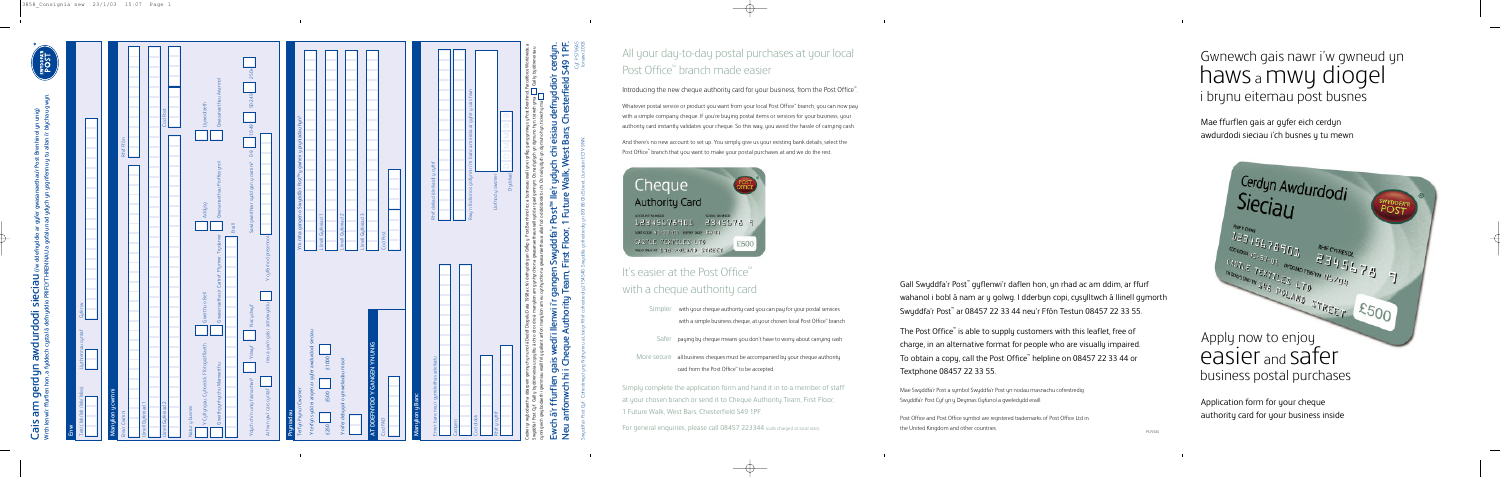# easier and safer business postal purchases

# Gwnewch gais nawr i'w gwneud yn haws <sup>a</sup>mwy diogel i brynu eitemau post busnes

Application form for your cheque authority card for your business inside

Mae ffurflen gais ar gyfer eich cerdyn awdurdodi sieciau i'ch busnes y tu mewn



The Post Office<sup>™</sup> is able to supply customers with this leaflet, free of charge, in an alternative format for people who are visually impaired.<br>To obtain a copy, call the Post Office™ helpline on 08457 22 33 44 or Textphone 08457 22 33 55.

Gall Swyddfa'r Post ™ gyflenwi'r daflen hon, yn rhad ac am ddim, ar ffurf wahanol i bobl â nam ar y golwg. I dderbyn copi, cysylltwch â llinell gymorth Swyddfa'r Post ™ ar 08457 22 33 44 neu'r Ffôn Testun 08457 22 33 55.

### All your day-to-day postal purchases at your local Post Office<sup>™</sup> branch made easier

 $\rightarrow$ 

Introducing the new cheque authority card for your business, from the Post Office<sup>"</sup>.

Whatever postal service or product you want from your local Post Office" branch, you can now pay with a simple company cheque. If you're buying postal items or services for your business, your authority card instantly validates your cheque. So this way, you a void the hassle of carrying cash.

And there's no new account to set up. You simply give us your existing bank details, select the Post Office" branch that you want to make your postal purchases at and we do the rest.

Cheque **Authority Card** 12345676901 2345678 9 Sources 90-10-05 Eleverage O CASTLE TEXTILES LTD £500 WUDDWAR 544 POLAND STREET

> Mae Swyddfa'r Post a symbol Swyddfa'r Post yn nodau masnachu cof restredig Swyddfa'r Post Cyf yn y Deyrnas Gyfunol a gweledydd eraill.

### It's easier at the Post Office<sup>™</sup> with a cheque authority car d

- Simpler with your cheque authority card you can pay for your postal services with a simple business cheque, at your chosen local Post Office ™ branch
- Safer paying by cheque means you don't have to worry about carrying cash

Post Office and Post Office symbol are registered trademarks of Post Office Ltd in the United Kingdom and other countries.

More secure all business cheques must be accompanied by your cheque authority card f rom the Post Office ™ to be accepted.

Simply complete the application form and hand it in to a member of staff at your chosen branch or send it to Cheque Authority Team, First Floor, 1 Future Walk, West Bars, Chesterfield S49 1PF.

 $\begin{array}{c} \begin{array}{c} \begin{array}{c} \end{array}\\ \end{array} \end{array}$ 

For general enquiries, please call 08457 223344 (calls charged at local rate).

Cerdyn Awdurdodi  $\begin{array}{lll} \begin{array}{lll} \text{Cov}_{G_1, \gamma_1, \dots, \gamma_{r-1}, \dots, \gamma_{r-1}, \dots, \gamma_{r-1}, \dots, \gamma_{r-1}, \dots, \gamma_{r-1}, \dots, \gamma_{r-1}, \dots, \gamma_{r-1}, \dots, \gamma_{r-1}, \dots, \gamma_{r-1}, \dots, \gamma_{r-1}, \dots, \gamma_{r-1}, \dots, \gamma_{r-1}, \dots, \gamma_{r-1}, \dots, \gamma_{r-1}, \dots, \gamma_{r-1}, \dots, \gamma_{r-1}, \dots, \gamma_{r-1}, \dots, \gamma_{r-1}, \dots, \gamma_{r-1$ Apply now to enjoy 

**Cais am gerdyn awdurdodi sieciau (i'w ddefnyddio ar gyfer gwasanaethau'r Post Brenhinol yn unig)**

| <b>SWYDDFA'R</b> |  |
|------------------|--|
|                  |  |

Swyddfa'r Post Cyf. Cofrestrwyd yng Nghymru a Lloegr. Rhif cofrestredig 2154540. Swyddfa gofrestredig yn 80/ 86 Old Street, Llundain EC1V 9NN.

Cyf: PS796A5 Ionawr 2003

े हैं:

| Gwasanaethau Ariannol<br>Llywodraeth<br>Cod Post<br>Ym mha gangen o Swyddfa'r Post <sup>w</sup> y gwneir y pryniadau hyn?<br>$ 0-49 $<br>Rhif Ffôn<br>$6-0$<br>Gwasanaethau Proffesiynol<br>Sawl gweithiwr sydd gan y cwmni?<br>Addysg<br>$\sim$<br>$\sim$<br>$\overline{\phantom{m}}$<br><b>Llinell Gyfeiriad</b><br><b>Llinell Gyfeiriad</b><br>Llinell Gyfeiriad<br>$Eraill$<br>Gwasanaethau'r Cartref, Plymwr, Trydanwr<br>Y cyfeirnod presennol<br>Gwerthu o Bell<br>neu a yw'n gais i adnewyddu<br>Nac ydwyf<br>Y terfyn sydd ei angen ar gyfer awdurdodi sieciau<br>AT DDEFNYDD Y GANGEN YN UNIG<br>Y Cyfryngau, Cyhoeddi, Ffotograffiaeth<br>Ydwyf<br>£1000<br>Y nifer debygol o ymweliadau misol<br>Gweithgynhyrchu Manwerthu<br>Ydych chi'n unig fasnachwr?<br>Ai hwn yw'r cais cyntaf<br>Terfyn Prynu'r Cwsmer<br>Manylion y cwmni<br>£500<br>$\sim$<br>$\overline{\phantom{m}}$<br>Llinell Gyfeiriad<br>Llinell Gyfeiriad<br>Natur y busnes<br>Pryniadau<br>Enw'r Cwmni<br>E250 |
|---------------------------------------------------------------------------------------------------------------------------------------------------------------------------------------------------------------------------------------------------------------------------------------------------------------------------------------------------------------------------------------------------------------------------------------------------------------------------------------------------------------------------------------------------------------------------------------------------------------------------------------------------------------------------------------------------------------------------------------------------------------------------------------------------------------------------------------------------------------------------------------------------------------------------------------------------------------------------------------------|
|                                                                                                                                                                                                                                                                                                                                                                                                                                                                                                                                                                                                                                                                                                                                                                                                                                                                                                                                                                                             |
|                                                                                                                                                                                                                                                                                                                                                                                                                                                                                                                                                                                                                                                                                                                                                                                                                                                                                                                                                                                             |
|                                                                                                                                                                                                                                                                                                                                                                                                                                                                                                                                                                                                                                                                                                                                                                                                                                                                                                                                                                                             |
|                                                                                                                                                                                                                                                                                                                                                                                                                                                                                                                                                                                                                                                                                                                                                                                                                                                                                                                                                                                             |
|                                                                                                                                                                                                                                                                                                                                                                                                                                                                                                                                                                                                                                                                                                                                                                                                                                                                                                                                                                                             |
|                                                                                                                                                                                                                                                                                                                                                                                                                                                                                                                                                                                                                                                                                                                                                                                                                                                                                                                                                                                             |
|                                                                                                                                                                                                                                                                                                                                                                                                                                                                                                                                                                                                                                                                                                                                                                                                                                                                                                                                                                                             |
|                                                                                                                                                                                                                                                                                                                                                                                                                                                                                                                                                                                                                                                                                                                                                                                                                                                                                                                                                                                             |
|                                                                                                                                                                                                                                                                                                                                                                                                                                                                                                                                                                                                                                                                                                                                                                                                                                                                                                                                                                                             |
|                                                                                                                                                                                                                                                                                                                                                                                                                                                                                                                                                                                                                                                                                                                                                                                                                                                                                                                                                                                             |
|                                                                                                                                                                                                                                                                                                                                                                                                                                                                                                                                                                                                                                                                                                                                                                                                                                                                                                                                                                                             |
|                                                                                                                                                                                                                                                                                                                                                                                                                                                                                                                                                                                                                                                                                                                                                                                                                                                                                                                                                                                             |
|                                                                                                                                                                                                                                                                                                                                                                                                                                                                                                                                                                                                                                                                                                                                                                                                                                                                                                                                                                                             |
|                                                                                                                                                                                                                                                                                                                                                                                                                                                                                                                                                                                                                                                                                                                                                                                                                                                                                                                                                                                             |
| Cod Post<br>Cod FAD                                                                                                                                                                                                                                                                                                                                                                                                                                                                                                                                                                                                                                                                                                                                                                                                                                                                                                                                                                         |
|                                                                                                                                                                                                                                                                                                                                                                                                                                                                                                                                                                                                                                                                                                                                                                                                                                                                                                                                                                                             |
| Manylion y Banc                                                                                                                                                                                                                                                                                                                                                                                                                                                                                                                                                                                                                                                                                                                                                                                                                                                                                                                                                                             |
| Rhif deiliad (deiliaid) y cyfrif<br>Enw'r banc neu'r gymdeithas adeiladu                                                                                                                                                                                                                                                                                                                                                                                                                                                                                                                                                                                                                                                                                                                                                                                                                                                                                                                    |
| Cangen                                                                                                                                                                                                                                                                                                                                                                                                                                                                                                                                                                                                                                                                                                                                                                                                                                                                                                                                                                                      |
| Rwy'n fodlon os gofynnir i'm banc am eirda ar gyfer y cais hwn                                                                                                                                                                                                                                                                                                                                                                                                                                                                                                                                                                                                                                                                                                                                                                                                                                                                                                                              |
| $\mathcal{A}$<br>Cod didoli                                                                                                                                                                                                                                                                                                                                                                                                                                                                                                                                                                                                                                                                                                                                                                                                                                                                                                                                                                 |
| ∞<br>$\Omega$<br>Llofnod y owsmer<br>Rhif y cyfrif                                                                                                                                                                                                                                                                                                                                                                                                                                                                                                                                                                                                                                                                                                                                                                                                                                                                                                                                          |
| Dyddiad                                                                                                                                                                                                                                                                                                                                                                                                                                                                                                                                                                                                                                                                                                                                                                                                                                                                                                                                                                                     |